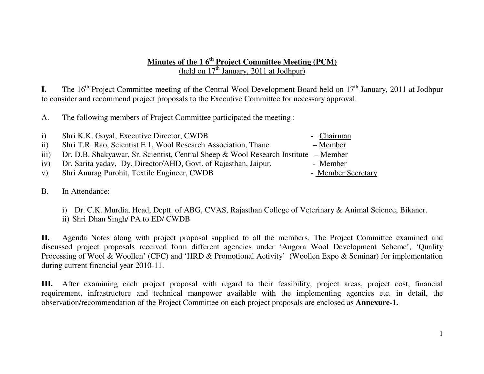## **Minutes of the 1 6th Project Committee Meeting (PCM)** (held on  $17<sup>th</sup>$  January, 2011 at Jodhpur)

**I.** The 16<sup>th</sup> Project Committee meeting of the Central Wool Development Board held on 17<sup>th</sup> January, 2011 at Jodhpur to consider and recommend project proposals to the Executive Committee for necessary approval.

A. The following members of Project Committee participated the meeting :

| $\mathbf{i}$ | Shri K.K. Goyal, Executive Director, CWDB                                           | - Chairman         |
|--------------|-------------------------------------------------------------------------------------|--------------------|
| ii)          | Shri T.R. Rao, Scientist E 1, Wool Research Association, Thane                      | – Member           |
| iii)         | Dr. D.B. Shakyawar, Sr. Scientist, Central Sheep & Wool Research Institute – Member |                    |
| iv)          | Dr. Sarita yadav, Dy. Director/AHD, Govt. of Rajasthan, Jaipur.                     | - Member           |
| V)           | Shri Anurag Purohit, Textile Engineer, CWDB                                         | - Member Secretary |
|              |                                                                                     |                    |

B. In Attendance:

i) Dr. C.K. Murdia, Head, Deptt. of ABG, CVAS, Rajasthan College of Veterinary & Animal Science, Bikaner. ii) Shri Dhan Singh/ PA to ED/ CWDB

**II.** Agenda Notes along with project proposal supplied to all the members. The Project Committee examined and discussed project proposals received form different agencies under 'Angora Wool Development Scheme', 'Quality Processing of Wool & Woollen' (CFC) and 'HRD & Promotional Activity' (Woollen Expo & Seminar) for implementation during current financial year 2010-11.

**III.** After examining each project proposal with regard to their feasibility, project areas, project cost, financial requirement, infrastructure and technical manpower available with the implementing agencies etc. in detail, the observation/recommendation of the Project Committee on each project proposals are enclosed as **Annexure-1.**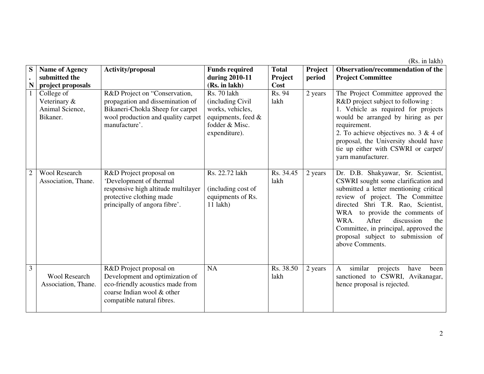(Rs. in lakh)

| S              | <b>Name of Agency</b>                                     | Activity/proposal                                                                                                                                            | <b>Funds required</b>                                                                                         | <b>Total</b>      | Project | Observation/recommendation of the                                                                                                                                                                                                                                                                                                                                      |
|----------------|-----------------------------------------------------------|--------------------------------------------------------------------------------------------------------------------------------------------------------------|---------------------------------------------------------------------------------------------------------------|-------------------|---------|------------------------------------------------------------------------------------------------------------------------------------------------------------------------------------------------------------------------------------------------------------------------------------------------------------------------------------------------------------------------|
|                | submitted the                                             |                                                                                                                                                              | during 2010-11                                                                                                | Project           | period  | <b>Project Committee</b>                                                                                                                                                                                                                                                                                                                                               |
| N              | project proposals                                         |                                                                                                                                                              | (Rs. in lakh)                                                                                                 | Cost              |         |                                                                                                                                                                                                                                                                                                                                                                        |
|                | College of<br>Veterinary &<br>Animal Science,<br>Bikaner. | R&D Project on "Conservation,<br>propagation and dissemination of<br>Bikaneri-Chokla Sheep for carpet<br>wool production and quality carpet<br>manufacture'. | Rs. 70 lakh<br>(including Civil)<br>works, vehicles,<br>equipments, feed &<br>fodder & Misc.<br>expenditure). | Rs. 94<br>lakh    | 2 years | The Project Committee approved the<br>R&D project subject to following :<br>1. Vehicle as required for projects<br>would be arranged by hiring as per<br>requirement.<br>2. To achieve objectives no. $3 \& 4$ of<br>proposal, the University should have<br>tie up either with CSWRI or carpet/<br>yarn manufacturer.                                                 |
| $\overline{2}$ | <b>Wool Research</b><br>Association, Thane.               | R&D Project proposal on<br>'Development of thermal<br>responsive high altitude multilayer<br>protective clothing made<br>principally of angora fibre'.       | Rs. 22.72 lakh<br>(including cost of<br>equipments of Rs.<br>$11$ lakh)                                       | Rs. 34.45<br>lakh | 2 years | Dr. D.B. Shakyawar, Sr. Scientist,<br>CSWRI sought some clarification and<br>submitted a letter mentioning critical<br>review of project. The Committee<br>directed Shri T.R. Rao, Scientist,<br>WRA to provide the comments of<br>WRA.<br>After<br>discussion<br>the<br>Committee, in principal, approved the<br>proposal subject to submission of<br>above Comments. |
| 3              | <b>Wool Research</b><br>Association, Thane.               | R&D Project proposal on<br>Development and optimization of<br>eco-friendly acoustics made from<br>coarse Indian wool & other<br>compatible natural fibres.   | NA                                                                                                            | Rs. 38.50<br>lakh | 2 years | similar<br>$\mathbf{A}$<br>projects<br>been<br>have<br>sanctioned to CSWRI, Avikanagar,<br>hence proposal is rejected.                                                                                                                                                                                                                                                 |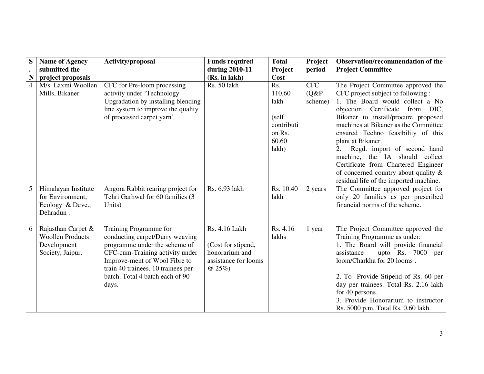| S | <b>Name of Agency</b>                                                            | Activity/proposal                                                                                                                                                                                                                                | <b>Funds required</b>                                                                    | <b>Total</b>                                                              | Project                        | Observation/recommendation of the                                                                                                                                                                                                                                                                                                                                                                                                                                                           |
|---|----------------------------------------------------------------------------------|--------------------------------------------------------------------------------------------------------------------------------------------------------------------------------------------------------------------------------------------------|------------------------------------------------------------------------------------------|---------------------------------------------------------------------------|--------------------------------|---------------------------------------------------------------------------------------------------------------------------------------------------------------------------------------------------------------------------------------------------------------------------------------------------------------------------------------------------------------------------------------------------------------------------------------------------------------------------------------------|
|   | submitted the                                                                    |                                                                                                                                                                                                                                                  | during 2010-11                                                                           | Project                                                                   | period                         | <b>Project Committee</b>                                                                                                                                                                                                                                                                                                                                                                                                                                                                    |
| N | project proposals                                                                |                                                                                                                                                                                                                                                  | (Rs. in lakh)                                                                            | Cost                                                                      |                                |                                                                                                                                                                                                                                                                                                                                                                                                                                                                                             |
| 4 | M/s. Laxmi Woollen<br>Mills, Bikaner                                             | CFC for Pre-loom processing<br>activity under 'Technology<br>Upgradation by installing blending<br>line system to improve the quality<br>of processed carpet yarn'.                                                                              | Rs. 50 lakh                                                                              | Rs.<br>110.60<br>lakh<br>(self)<br>contributi<br>on Rs.<br>60.60<br>lakh) | <b>CFC</b><br>(Q&P)<br>scheme) | The Project Committee approved the<br>CFC project subject to following :<br>1. The Board would collect a No<br>objection Certificate from DIC,<br>Bikaner to install/procure proposed<br>machines at Bikaner as the Committee<br>ensured Techno feasibility of this<br>plant at Bikaner.<br>2.<br>Regd. import of second hand<br>machine, the IA should collect<br>Certificate from Chartered Engineer<br>of concerned country about quality $\&$<br>residual life of the imported machine. |
| 5 | Himalayan Institute<br>for Environment,<br>Ecology & Deve.,<br>Dehradun.         | Angora Rabbit rearing project for<br>Tehri Garhwal for 60 families (3<br>Units)                                                                                                                                                                  | Rs. 6.93 lakh                                                                            | Rs. 10.40<br>lakh                                                         | 2 years                        | The Committee approved project for<br>only 20 families as per prescribed<br>financial norms of the scheme.                                                                                                                                                                                                                                                                                                                                                                                  |
| 6 | Rajasthan Carpet &<br><b>Woollen Products</b><br>Development<br>Society, Jaipur. | Training Programme for<br>conducting carpet/Durry weaving<br>programme under the scheme of<br>CFC-cum-Training activity under<br>Improve-ment of Wool Fibre to<br>train 40 trainees. 10 trainees per<br>batch. Total 4 batch each of 90<br>days. | Rs. 4.16 Lakh<br>(Cost for stipend,<br>honorarium and<br>assistance for looms<br>$@25\%$ | Rs. 4.16<br>lakhs                                                         | 1 year                         | The Project Committee approved the<br>Training Programme as under:<br>1. The Board will provide financial<br>assistance<br>upto Rs. 7000 per<br>loom/Charkha for 20 looms.<br>2. To Provide Stipend of Rs. 60 per<br>day per trainees. Total Rs. 2.16 lakh<br>for 40 persons.<br>3. Provide Honorarium to instructor<br>Rs. 5000 p.m. Total Rs. 0.60 lakh.                                                                                                                                  |